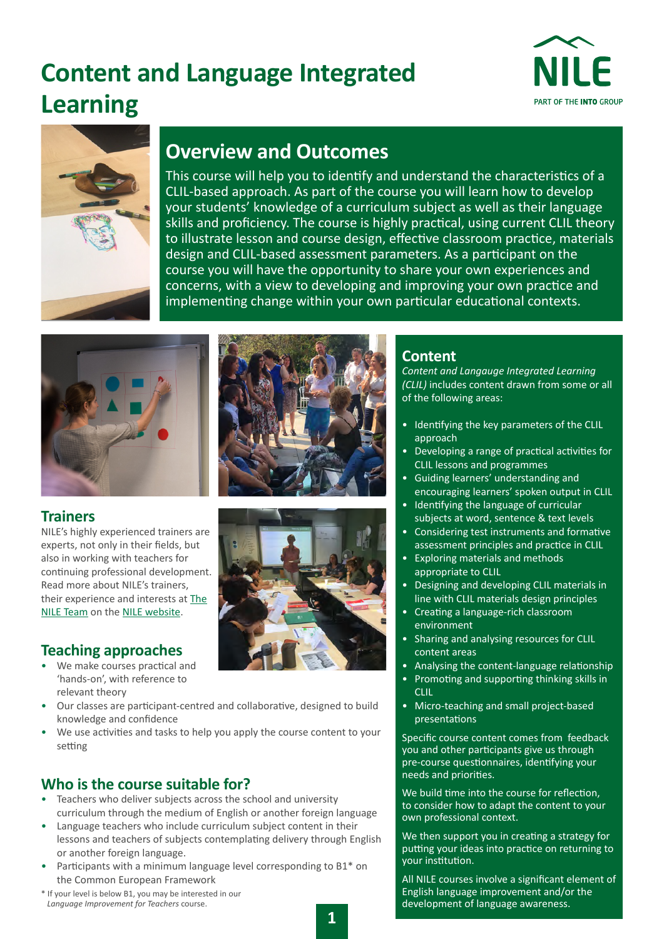# **Content and Language Integrated Learning**





## **Overview and Outcomes**

This course will help you to identify and understand the characteristics of a CLIL-based approach. As part of the course you will learn how to develop your students' knowledge of a curriculum subject as well as their language skills and proficiency. The course is highly practical, using current CLIL theory to illustrate lesson and course design, effective classroom practice, materials design and CLIL-based assessment parameters. As a participant on the course you will have the opportunity to share your own experiences and concerns, with a view to developing and improving your own practice and implementing change within your own particular educational contexts.



**Trainers** 

NILE's highly experienced trainers are experts, not only in their fields, but also in working with teachers for continuing professional development. Read more about NILE's trainers, their experience and interests at [The](https://www.nile-elt.com/ourpeople)  [NILE Team](https://www.nile-elt.com/ourpeople) on the [NILE website.](https://www.nile-elt.com)

## **Teaching approaches**

- We make courses practical and 'hands-on', with reference to relevant theory
- Our classes are participant-centred and collaborative, designed to build knowledge and confidence
- We use activities and tasks to help you apply the course content to your setting

## **Who is the course suitable for?**

- Teachers who deliver subjects across the school and university curriculum through the medium of English or another foreign language
- Language teachers who include curriculum subject content in their lessons and teachers of subjects contemplating delivery through English or another foreign language.
- Participants with a minimum language level corresponding to B1\* on the Common European Framework
- \* If your level is below B1, you may be interested in our *Language Improvement for Teachers* course.





## **Content**

*Content and Langauge Integrated Learning (CLIL)* includes content drawn from some or all of the following areas:

- Identifying the key parameters of the CLIL approach
- Developing a range of practical activities for CLIL lessons and programmes
- Guiding learners' understanding and encouraging learners' spoken output in CLIL
- Identifying the language of curricular subjects at word, sentence & text levels
- Considering test instruments and formative assessment principles and practice in CLIL
- Exploring materials and methods appropriate to CLIL
- Designing and developing CLIL materials in line with CLIL materials design principles
- Creating a language-rich classroom environment
- Sharing and analysing resources for CLIL content areas
- Analysing the content-language relationship
- Promoting and supporting thinking skills in CLIL
- Micro-teaching and small project-based presentations

Specific course content comes from feedback you and other participants give us through pre-course questionnaires, identifying your needs and priorities.

We build time into the course for reflection, to consider how to adapt the content to your own professional context.

We then support you in creating a strategy for putting your ideas into practice on returning to your institution.

All NILE courses involve a significant element of English language improvement and/or the development of language awareness.